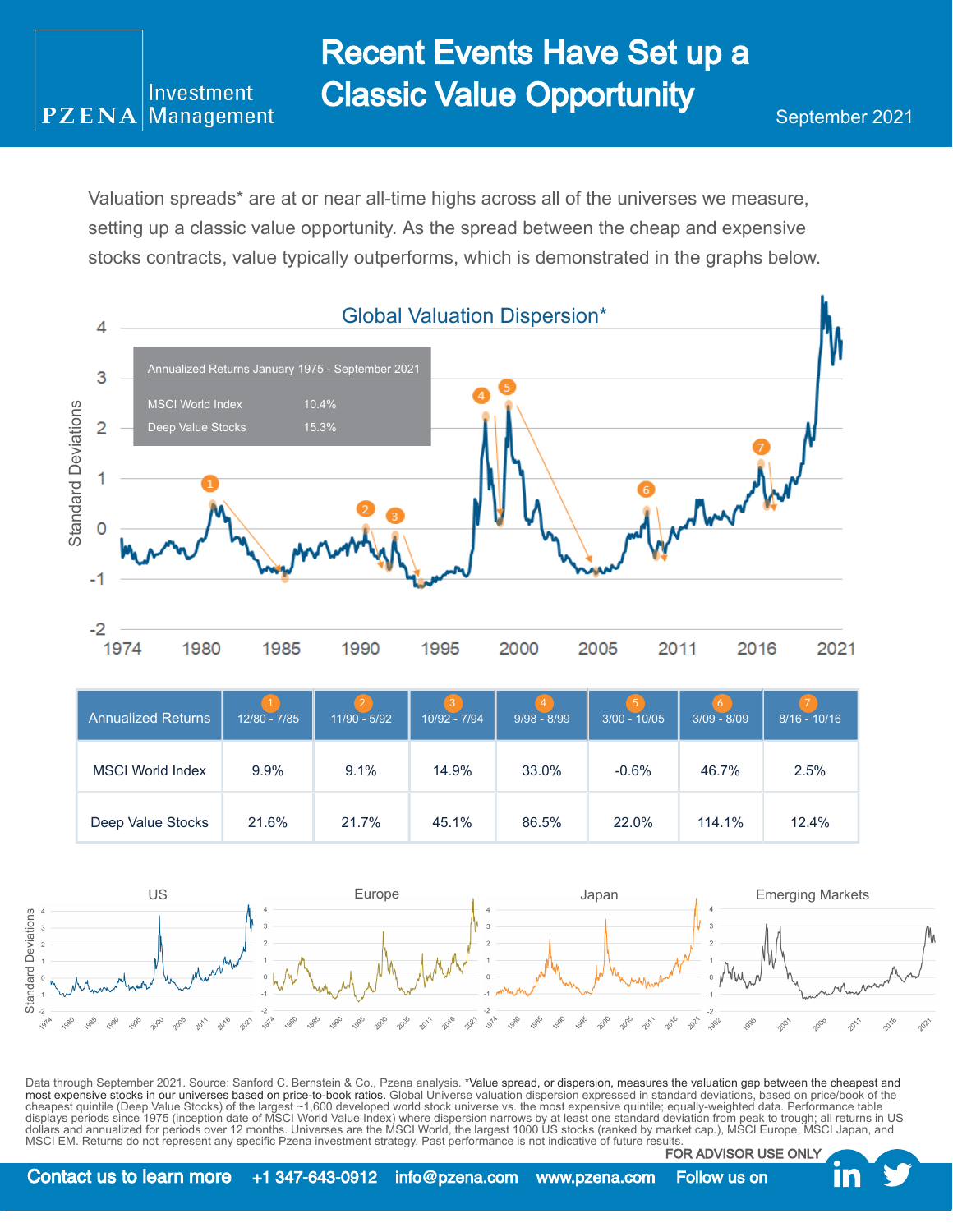Valuation spreads\* are at or near all-time highs across all of the universes we measure, setting up a classic value opportunity. As the spread between the cheap and expensive stocks contracts, value typically outperforms, which is demonstrated in the graphs below.

Investment Management

**PZENA** 



| Annualized Returns      | $12/80 - 7/85$ | $\overline{2}$<br>$11/90 - 5/92$ | lЗ '<br>10/92 - 7/94 | $\overline{4}$<br>$9/98 - 8/99$ | 5 <sup>1</sup><br>$3/00 - 10/05$ | 6<br>$3/09 - 8/09$ | $8/16 - 10/16$ |
|-------------------------|----------------|----------------------------------|----------------------|---------------------------------|----------------------------------|--------------------|----------------|
| <b>MSCI World Index</b> | $9.9\%$        | 9.1%                             | 14.9%                | 33.0%                           | $-0.6%$                          | 46.7%              | 2.5%           |
| Deep Value Stocks       | 21.6%          | 21.7%                            | 45.1%                | 86.5%                           | 22.0%                            | 114.1%             | 12.4%          |



Data through September 2021. Source: Sanford C. Bernstein & Co., Pzena analysis. \*Value spread, or dispersion, measures the valuation gap between the cheapest and most expensive stocks in our universes based on price-to-book ratios. Global Universe valuation dispersion expressed in standard deviations, based on price/book of the cheapest quintile (Deep Value Stocks) of the largest ~1,600 developed world stock universe vs. the most expensive quintile; equally-weighted data. Performance table<br>displays periods since 1975 (inception date of MSCI World MSCI EM. Returns do not represent any specific Pzena investment strategy. Past performance is not indicative of future results. FOR ADVISOR USE ONLY